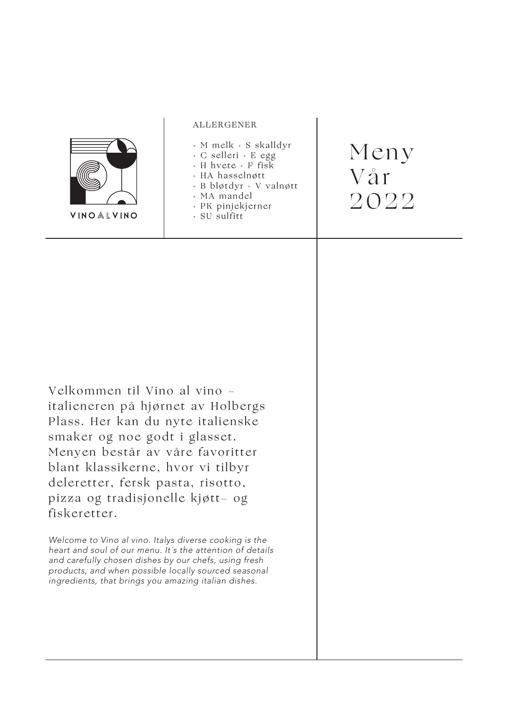|                                                                                                                                                                                                                                                                                                                                                                                                                                   | <b>ALLERGENER</b>                                                                                                                                                    |                     |
|-----------------------------------------------------------------------------------------------------------------------------------------------------------------------------------------------------------------------------------------------------------------------------------------------------------------------------------------------------------------------------------------------------------------------------------|----------------------------------------------------------------------------------------------------------------------------------------------------------------------|---------------------|
| VINOALVINO                                                                                                                                                                                                                                                                                                                                                                                                                        | • M melk • S skalldyr<br>• C selleri • E egg<br>• H hvete • F fisk<br>· HA hasselnøtt<br>• B bløtdyr • V valnøtt<br>• MA mandel<br>• PK pinjekjerner<br>· SU sulfitt | Meny<br>Vår<br>2022 |
| Velkommen til Vino al vino -<br>italieneren på hjørnet av Holbergs<br>Plass. Her kan du nyte italienske<br>smaker og noe godt i glasset.<br>Menyen består av våre favoritter<br>blant klassikerne, hvor vi tilbyr<br>deleretter, fersk pasta, risotto,<br>pizza og tradisjonelle kjøtt- og<br>fiskeretter.<br>Welcome to Vino al vino. Italys diverse cooking is the<br>heart and soul of our menu. It's the attention of details |                                                                                                                                                                      |                     |
| and carefully chosen dishes by our chefs, using fresh<br>products, and when possible locally sourced seasonal<br>ingredients, that brings you amazing italian dishes.                                                                                                                                                                                                                                                             |                                                                                                                                                                      |                     |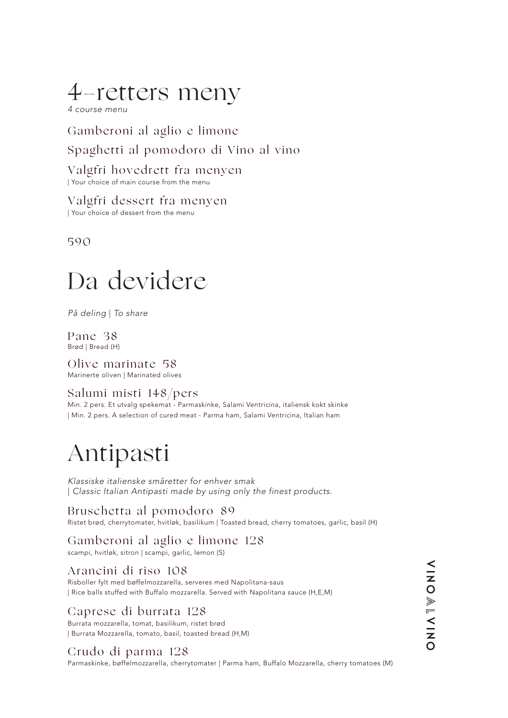### 4-retters meny

*4 course menu*

Gamberoni al aglio e limone Spaghetti al pomodoro di Vino al vino

Valgfri hovedrett fra menyen | Your choice of main course from the menu

Valgfri dessert fra menyen | Your choice of dessert from the menu

590

## Da devidere

*På deling* | *To share*

Pane 38 Brød | Bread (H)

Olive marinate 58 Marinerte oliven | Marinated olives

#### Salumi misti 148/pers

Min. 2 pers. Et utvalg spekemat - Parmaskinke, Salami Ventricina, italiensk kokt skinke | Min. 2 pers. A selection of cured meat - Parma ham, Salami Ventricina, Italian ham

### Antipasti

*Klassiske italienske småretter for enhver smak* | *Classic Italian Antipasti made by using only the finest products.*

Bruschetta al pomodoro 89 Ristet brød, cherrytomater, hvitløk, basilikum | Toasted bread, cherry tomatoes, garlic, basil (H)

### Gamberoni al aglio e limone 128

scampi, hvitløk, sitron | scampi, garlic, lemon (S)

#### Arancini di riso 108

Risboller fylt med bøffelmozzarella, serveres med Napolitana-saus | Rice balls stuffed with Buffalo mozzarella. Served with Napolitana sauce (H,E,M)

### Caprese di burrata 128

Burrata mozzarella, tomat, basilikum, ristet brød | Burrata Mozzarella, tomato, basil, toasted bread (H,M)

### Crudo di parma 128

Parmaskinke, bøffelmozzarella, cherrytomater | Parma ham, Buffalo Mozzarella, cherry tomatoes (M)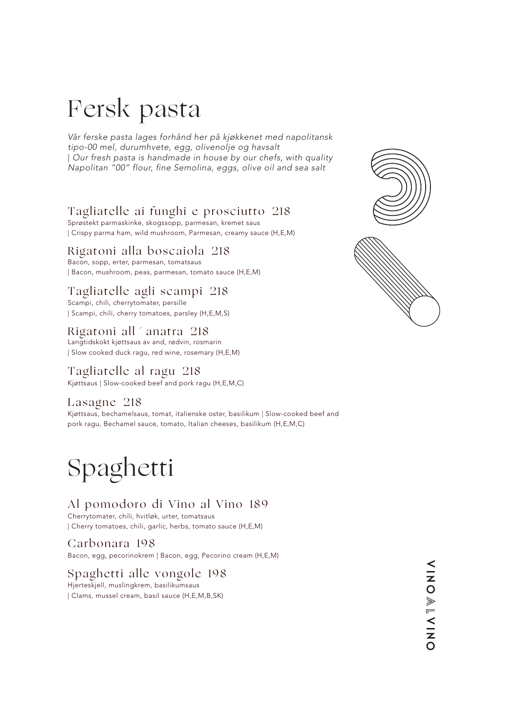## Fersk pasta

*Vår ferske pasta lages forhånd her på kjøkkenet med napolitansk tipo-00 mel, durumhvete, egg, olivenolje og havsalt* | *Our fresh pasta is handmade in house by our chefs, with quality Napolitan "00" flour, fine Semolina, eggs, olive oil and sea salt*

### Tagliatelle ai funghi e prosciutto 218

Sprøstekt parmaskinke, skogssopp, parmesan, kremet saus | Crispy parma ham, wild mushroom, Parmesan, creamy sauce (H,E,M)

#### Rigatoni alla boscaiola 218

Bacon, sopp, erter, parmesan, tomatsaus | Bacon, mushroom, peas, parmesan, tomato sauce (H,E,M)

### Tagliatelle agli scampi 218

Scampi, chili, cherrytomater, persille | Scampi, chili, cherry tomatoes, parsley (H,E,M,S)

### Rigatoni all´anatra 218

Langtidskokt kjøttsaus av and, rødvin, rosmarin | Slow cooked duck ragu, red wine, rosemary (H,E,M)

### Tagliatelle al ragu 218

Kjøttsaus | Slow-cooked beef and pork ragu (H,E,M,C)

#### Lasagne 218

Kjøttsaus, bechamelsaus, tomat, italienske oster, basilikum | Slow-cooked beef and pork ragu, Bechamel sauce, tomato, Italian cheeses, basilikum (H,E,M,C)

## Spaghetti

### Al pomodoro di Vino al Vino 189

Cherrytomater, chili, hvitløk, urter, tomatsaus | Cherry tomatoes, chili, garlic, herbs, tomato sauce (H,E,M)

### Carbonara 198

Bacon, egg, pecorinokrem | Bacon, egg, Pecorino cream (H,E,M)

### Spaghetti alle vongole 198

Hjerteskjell, muslingkrem, basilikumsaus | Clams, mussel cream, basil sauce (H,E,M,B,SK)



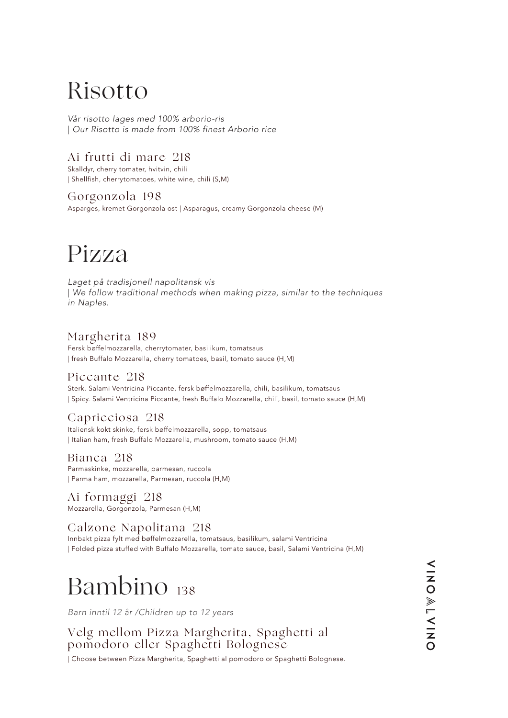### Risotto

*Vår risotto lages med 100% arborio-ris* | *Our Risotto is made from 100% finest Arborio rice* 

### Ai frutti di mare 218

Skalldyr, cherry tomater, hvitvin, chili | Shellfish, cherrytomatoes, white wine, chili (S,M)

Gorgonzola 198 Asparges, kremet Gorgonzola ost | Asparagus, creamy Gorgonzola cheese (M)

### Pizza

*Laget på tradisjonell napolitansk vis* | *We follow traditional methods when making pizza, similar to the techniques in Naples.* 

### Margherita 189

Fersk bøffelmozzarella, cherrytomater, basilikum, tomatsaus | fresh Buffalo Mozzarella, cherry tomatoes, basil, tomato sauce (H,M)

#### Piccante 218

Sterk. Salami Ventricina Piccante, fersk bøffelmozzarella, chili, basilikum, tomatsaus | Spicy. Salami Ventricina Piccante, fresh Buffalo Mozzarella, chili, basil, tomato sauce (H,M)

### Capricciosa 218

Italiensk kokt skinke, fersk bøffelmozzarella, sopp, tomatsaus | Italian ham, fresh Buffalo Mozzarella, mushroom, tomato sauce (H,M)

Bianca 218 Parmaskinke, mozzarella, parmesan, ruccola | Parma ham, mozzarella, Parmesan, ruccola (H,M)

Ai formaggi 218 Mozzarella, Gorgonzola, Parmesan (H,M)

### Calzone Napolitana 218

Innbakt pizza fylt med bøffelmozzarella, tomatsaus, basilikum, salami Ventricina | Folded pizza stuffed with Buffalo Mozzarella, tomato sauce, basil, Salami Ventricina (H,M)

## Bambino 138

*Barn inntil 12 år /Children up to 12 years*

Velg mellom Pizza Margherita, Spaghetti al pomodoro eller Spaghetti Bolognese

| Choose between Pizza Margherita, Spaghetti al pomodoro or Spaghetti Bolognese.